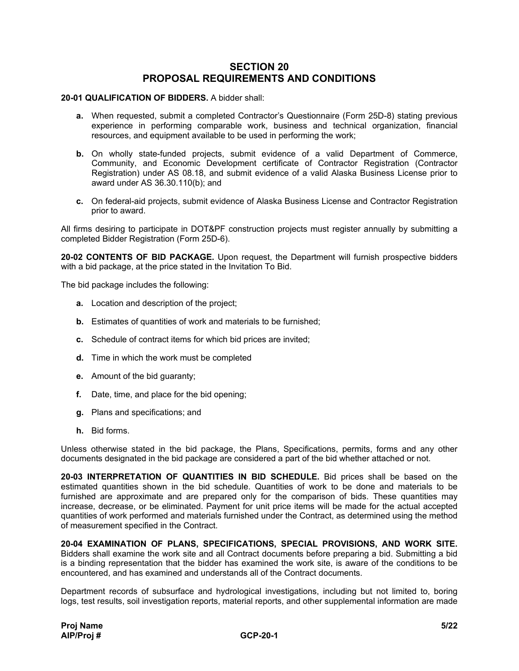## **SECTION 20 PROPOSAL REQUIREMENTS AND CONDITIONS**

## **20-01 QUALIFICATION OF BIDDERS.** A bidder shall:

- **a.** When requested, submit a completed Contractor's Questionnaire (Form 25D-8) stating previous experience in performing comparable work, business and technical organization, financial resources, and equipment available to be used in performing the work;
- **b.** On wholly state-funded projects, submit evidence of a valid Department of Commerce, Community, and Economic Development certificate of Contractor Registration (Contractor Registration) under AS 08.18, and submit evidence of a valid Alaska Business License prior to award under AS 36.30.110(b); and
- **c.** On federal-aid projects, submit evidence of Alaska Business License and Contractor Registration prior to award.

All firms desiring to participate in DOT&PF construction projects must register annually by submitting a completed Bidder Registration (Form 25D-6).

**20-02 CONTENTS OF BID PACKAGE.** Upon request, the Department will furnish prospective bidders with a bid package, at the price stated in the Invitation To Bid.

The bid package includes the following:

- **a.** Location and description of the project;
- **b.** Estimates of quantities of work and materials to be furnished;
- **c.** Schedule of contract items for which bid prices are invited;
- **d.** Time in which the work must be completed
- **e.** Amount of the bid guaranty;
- **f.** Date, time, and place for the bid opening;
- **g.** Plans and specifications; and
- **h.** Bid forms.

Unless otherwise stated in the bid package, the Plans, Specifications, permits, forms and any other documents designated in the bid package are considered a part of the bid whether attached or not.

**20-03 INTERPRETATION OF QUANTITIES IN BID SCHEDULE.** Bid prices shall be based on the estimated quantities shown in the bid schedule. Quantities of work to be done and materials to be furnished are approximate and are prepared only for the comparison of bids. These quantities may increase, decrease, or be eliminated. Payment for unit price items will be made for the actual accepted quantities of work performed and materials furnished under the Contract, as determined using the method of measurement specified in the Contract.

**20-04 EXAMINATION OF PLANS, SPECIFICATIONS, SPECIAL PROVISIONS, AND WORK SITE.** Bidders shall examine the work site and all Contract documents before preparing a bid. Submitting a bid is a binding representation that the bidder has examined the work site, is aware of the conditions to be encountered, and has examined and understands all of the Contract documents.

Department records of subsurface and hydrological investigations, including but not limited to, boring logs, test results, soil investigation reports, material reports, and other supplemental information are made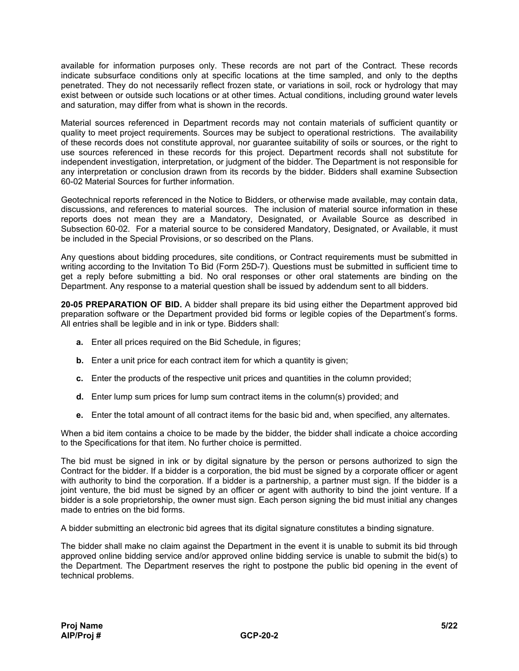available for information purposes only. These records are not part of the Contract. These records indicate subsurface conditions only at specific locations at the time sampled, and only to the depths penetrated. They do not necessarily reflect frozen state, or variations in soil, rock or hydrology that may exist between or outside such locations or at other times. Actual conditions, including ground water levels and saturation, may differ from what is shown in the records.

Material sources referenced in Department records may not contain materials of sufficient quantity or quality to meet project requirements. Sources may be subject to operational restrictions. The availability of these records does not constitute approval, nor guarantee suitability of soils or sources, or the right to use sources referenced in these records for this project. Department records shall not substitute for independent investigation, interpretation, or judgment of the bidder. The Department is not responsible for any interpretation or conclusion drawn from its records by the bidder. Bidders shall examine Subsection 60-02 Material Sources for further information.

Geotechnical reports referenced in the Notice to Bidders, or otherwise made available, may contain data, discussions, and references to material sources. The inclusion of material source information in these reports does not mean they are a Mandatory, Designated, or Available Source as described in Subsection 60-02. For a material source to be considered Mandatory, Designated, or Available, it must be included in the Special Provisions, or so described on the Plans.

Any questions about bidding procedures, site conditions, or Contract requirements must be submitted in writing according to the Invitation To Bid (Form 25D-7). Questions must be submitted in sufficient time to get a reply before submitting a bid. No oral responses or other oral statements are binding on the Department. Any response to a material question shall be issued by addendum sent to all bidders.

**20-05 PREPARATION OF BID.** A bidder shall prepare its bid using either the Department approved bid preparation software or the Department provided bid forms or legible copies of the Department's forms. All entries shall be legible and in ink or type. Bidders shall:

- **a.** Enter all prices required on the Bid Schedule, in figures;
- **b.** Enter a unit price for each contract item for which a quantity is given;
- **c.** Enter the products of the respective unit prices and quantities in the column provided;
- **d.** Enter lump sum prices for lump sum contract items in the column(s) provided; and
- **e.** Enter the total amount of all contract items for the basic bid and, when specified, any alternates.

When a bid item contains a choice to be made by the bidder, the bidder shall indicate a choice according to the Specifications for that item. No further choice is permitted.

The bid must be signed in ink or by digital signature by the person or persons authorized to sign the Contract for the bidder. If a bidder is a corporation, the bid must be signed by a corporate officer or agent with authority to bind the corporation. If a bidder is a partnership, a partner must sign. If the bidder is a joint venture, the bid must be signed by an officer or agent with authority to bind the joint venture. If a bidder is a sole proprietorship, the owner must sign. Each person signing the bid must initial any changes made to entries on the bid forms.

A bidder submitting an electronic bid agrees that its digital signature constitutes a binding signature.

The bidder shall make no claim against the Department in the event it is unable to submit its bid through approved online bidding service and/or approved online bidding service is unable to submit the bid(s) to the Department. The Department reserves the right to postpone the public bid opening in the event of technical problems.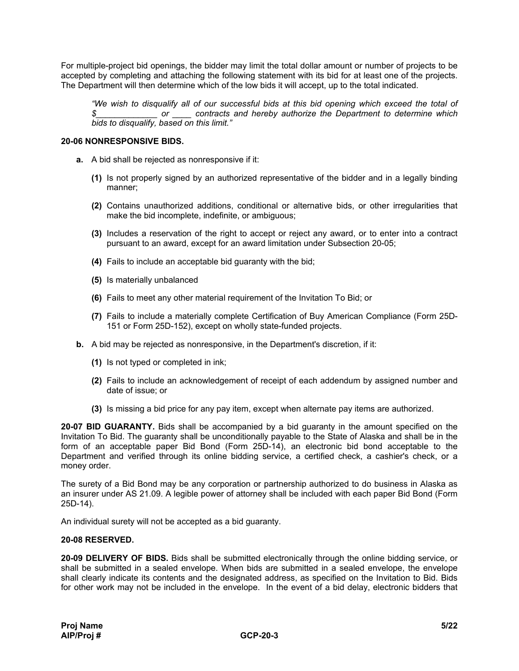For multiple-project bid openings, the bidder may limit the total dollar amount or number of projects to be accepted by completing and attaching the following statement with its bid for at least one of the projects. The Department will then determine which of the low bids it will accept, up to the total indicated.

*"We wish to disqualify all of our successful bids at this bid opening which exceed the total of \$\_\_\_\_\_\_\_\_\_\_\_\_\_ or \_\_\_\_ contracts and hereby authorize the Department to determine which bids to disqualify, based on this limit."*

## **20-06 NONRESPONSIVE BIDS.**

- **a.** A bid shall be rejected as nonresponsive if it:
	- **(1)** Is not properly signed by an authorized representative of the bidder and in a legally binding manner;
	- **(2)** Contains unauthorized additions, conditional or alternative bids, or other irregularities that make the bid incomplete, indefinite, or ambiguous;
	- **(3)** Includes a reservation of the right to accept or reject any award, or to enter into a contract pursuant to an award, except for an award limitation under Subsection 20-05;
	- **(4)** Fails to include an acceptable bid guaranty with the bid;
	- **(5)** Is materially unbalanced
	- **(6)** Fails to meet any other material requirement of the Invitation To Bid; or
	- **(7)** Fails to include a materially complete Certification of Buy American Compliance (Form 25D-151 or Form 25D-152), except on wholly state-funded projects.
- **b.** A bid may be rejected as nonresponsive, in the Department's discretion, if it:
	- **(1)** Is not typed or completed in ink;
	- **(2)** Fails to include an acknowledgement of receipt of each addendum by assigned number and date of issue; or
	- **(3)** Is missing a bid price for any pay item, except when alternate pay items are authorized.

**20-07 BID GUARANTY.** Bids shall be accompanied by a bid guaranty in the amount specified on the Invitation To Bid. The guaranty shall be unconditionally payable to the State of Alaska and shall be in the form of an acceptable paper Bid Bond (Form 25D-14), an electronic bid bond acceptable to the Department and verified through its online bidding service, a certified check, a cashier's check, or a money order.

The surety of a Bid Bond may be any corporation or partnership authorized to do business in Alaska as an insurer under AS 21.09. A legible power of attorney shall be included with each paper Bid Bond (Form 25D-14).

An individual surety will not be accepted as a bid guaranty.

## **20-08 RESERVED.**

**20-09 DELIVERY OF BIDS.** Bids shall be submitted electronically through the online bidding service, or shall be submitted in a sealed envelope. When bids are submitted in a sealed envelope, the envelope shall clearly indicate its contents and the designated address, as specified on the Invitation to Bid. Bids for other work may not be included in the envelope. In the event of a bid delay, electronic bidders that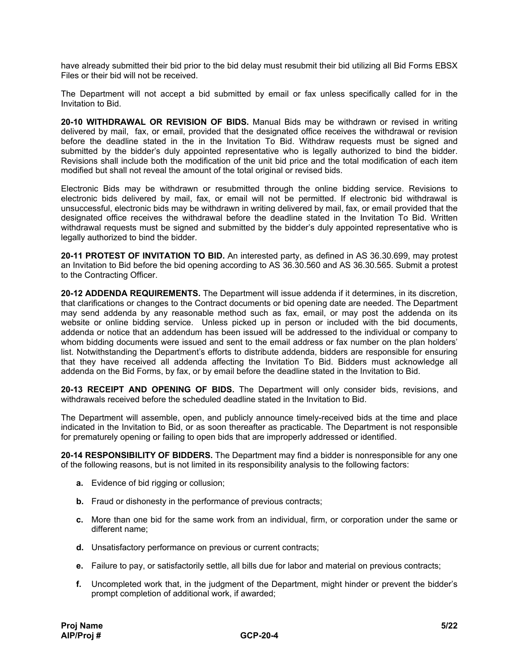have already submitted their bid prior to the bid delay must resubmit their bid utilizing all Bid Forms EBSX Files or their bid will not be received.

The Department will not accept a bid submitted by email or fax unless specifically called for in the Invitation to Bid.

**20-10 WITHDRAWAL OR REVISION OF BIDS.** Manual Bids may be withdrawn or revised in writing delivered by mail, fax, or email, provided that the designated office receives the withdrawal or revision before the deadline stated in the in the Invitation To Bid. Withdraw requests must be signed and submitted by the bidder's duly appointed representative who is legally authorized to bind the bidder. Revisions shall include both the modification of the unit bid price and the total modification of each item modified but shall not reveal the amount of the total original or revised bids.

Electronic Bids may be withdrawn or resubmitted through the online bidding service. Revisions to electronic bids delivered by mail, fax, or email will not be permitted. If electronic bid withdrawal is unsuccessful, electronic bids may be withdrawn in writing delivered by mail, fax, or email provided that the designated office receives the withdrawal before the deadline stated in the Invitation To Bid. Written withdrawal requests must be signed and submitted by the bidder's duly appointed representative who is legally authorized to bind the bidder.

**20-11 PROTEST OF INVITATION TO BID.** An interested party, as defined in AS 36.30.699, may protest an Invitation to Bid before the bid opening according to AS 36.30.560 and AS 36.30.565. Submit a protest to the Contracting Officer.

**20-12 ADDENDA REQUIREMENTS.** The Department will issue addenda if it determines, in its discretion, that clarifications or changes to the Contract documents or bid opening date are needed. The Department may send addenda by any reasonable method such as fax, email, or may post the addenda on its website or online bidding service. Unless picked up in person or included with the bid documents, addenda or notice that an addendum has been issued will be addressed to the individual or company to whom bidding documents were issued and sent to the email address or fax number on the plan holders' list. Notwithstanding the Department's efforts to distribute addenda, bidders are responsible for ensuring that they have received all addenda affecting the Invitation To Bid. Bidders must acknowledge all addenda on the Bid Forms, by fax, or by email before the deadline stated in the Invitation to Bid.

**20-13 RECEIPT AND OPENING OF BIDS.** The Department will only consider bids, revisions, and withdrawals received before the scheduled deadline stated in the Invitation to Bid.

The Department will assemble, open, and publicly announce timely-received bids at the time and place indicated in the Invitation to Bid, or as soon thereafter as practicable. The Department is not responsible for prematurely opening or failing to open bids that are improperly addressed or identified.

**20-14 RESPONSIBILITY OF BIDDERS.** The Department may find a bidder is nonresponsible for any one of the following reasons, but is not limited in its responsibility analysis to the following factors:

- **a.** Evidence of bid rigging or collusion;
- **b.** Fraud or dishonesty in the performance of previous contracts;
- **c.** More than one bid for the same work from an individual, firm, or corporation under the same or different name;
- **d.** Unsatisfactory performance on previous or current contracts;
- **e.** Failure to pay, or satisfactorily settle, all bills due for labor and material on previous contracts;
- **f.** Uncompleted work that, in the judgment of the Department, might hinder or prevent the bidder's prompt completion of additional work, if awarded;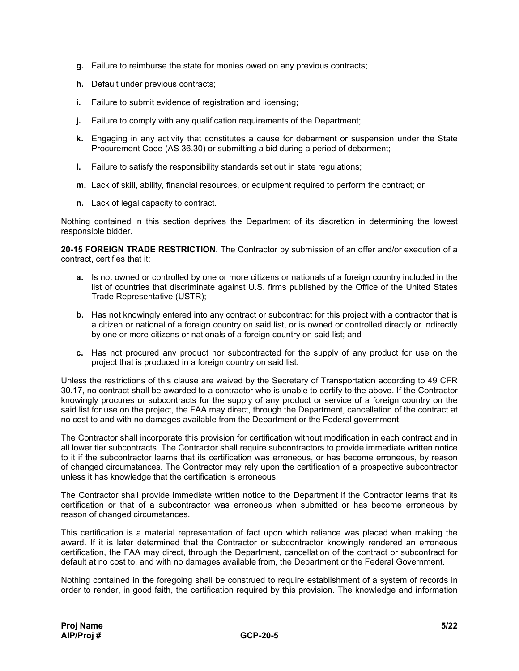- **g.** Failure to reimburse the state for monies owed on any previous contracts;
- **h.** Default under previous contracts;
- **i.** Failure to submit evidence of registration and licensing;
- **j.** Failure to comply with any qualification requirements of the Department;
- **k.** Engaging in any activity that constitutes a cause for debarment or suspension under the State Procurement Code (AS 36.30) or submitting a bid during a period of debarment;
- **l.** Failure to satisfy the responsibility standards set out in state regulations;
- **m.** Lack of skill, ability, financial resources, or equipment required to perform the contract; or
- **n.** Lack of legal capacity to contract.

Nothing contained in this section deprives the Department of its discretion in determining the lowest responsible bidder.

**20-15 FOREIGN TRADE RESTRICTION.** The Contractor by submission of an offer and/or execution of a contract, certifies that it:

- **a.** Is not owned or controlled by one or more citizens or nationals of a foreign country included in the list of countries that discriminate against U.S. firms published by the Office of the United States Trade Representative (USTR);
- **b.** Has not knowingly entered into any contract or subcontract for this project with a contractor that is a citizen or national of a foreign country on said list, or is owned or controlled directly or indirectly by one or more citizens or nationals of a foreign country on said list; and
- **c.** Has not procured any product nor subcontracted for the supply of any product for use on the project that is produced in a foreign country on said list.

Unless the restrictions of this clause are waived by the Secretary of Transportation according to 49 CFR 30.17, no contract shall be awarded to a contractor who is unable to certify to the above. If the Contractor knowingly procures or subcontracts for the supply of any product or service of a foreign country on the said list for use on the project, the FAA may direct, through the Department, cancellation of the contract at no cost to and with no damages available from the Department or the Federal government.

The Contractor shall incorporate this provision for certification without modification in each contract and in all lower tier subcontracts. The Contractor shall require subcontractors to provide immediate written notice to it if the subcontractor learns that its certification was erroneous, or has become erroneous, by reason of changed circumstances. The Contractor may rely upon the certification of a prospective subcontractor unless it has knowledge that the certification is erroneous.

The Contractor shall provide immediate written notice to the Department if the Contractor learns that its certification or that of a subcontractor was erroneous when submitted or has become erroneous by reason of changed circumstances.

This certification is a material representation of fact upon which reliance was placed when making the award. If it is later determined that the Contractor or subcontractor knowingly rendered an erroneous certification, the FAA may direct, through the Department, cancellation of the contract or subcontract for default at no cost to, and with no damages available from, the Department or the Federal Government.

Nothing contained in the foregoing shall be construed to require establishment of a system of records in order to render, in good faith, the certification required by this provision. The knowledge and information